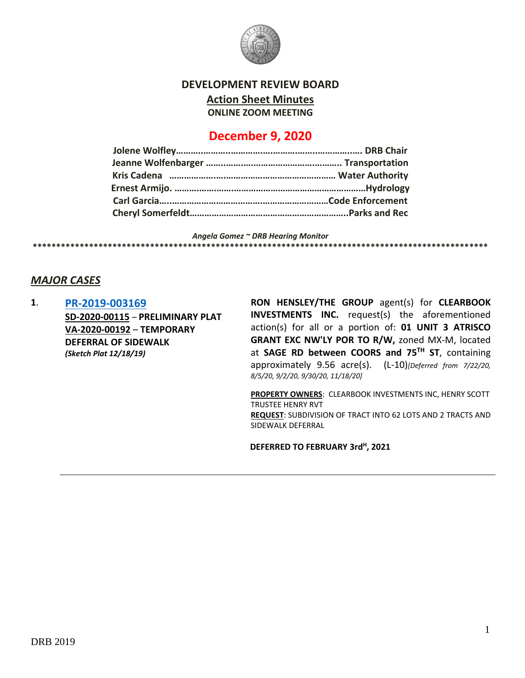

**DEVELOPMENT REVIEW BOARD**

**Action Sheet Minutes**

**ONLINE ZOOM MEETING**

# **December 9, 2020**

*Angela Gomez ~ DRB Hearing Monitor* **\*\*\*\*\*\*\*\*\*\*\*\*\*\*\*\*\*\*\*\*\*\*\*\*\*\*\*\*\*\*\*\*\*\*\*\*\*\*\*\*\*\*\*\*\*\*\*\*\*\*\*\*\*\*\*\*\*\*\*\*\*\*\*\*\*\*\*\*\*\*\*\*\*\*\*\*\*\*\*\*\*\*\*\*\*\*\*\*\*\*\*\*\*\*\*\*\***

## *MAJOR CASES*

**1**. **[PR-2019-003169](http://data.cabq.gov/government/planning/DRB/PR-2019-003169/DRB%20Submittals/) SD-2020-00115** – **PRELIMINARY PLAT VA-2020-00192** – **TEMPORARY DEFERRAL OF SIDEWALK** *(Sketch Plat 12/18/19)*

**RON HENSLEY/THE GROUP** agent(s) for **CLEARBOOK INVESTMENTS INC.** request(s) the aforementioned action(s) for all or a portion of: **01 UNIT 3 ATRISCO GRANT EXC NW'LY POR TO R/W,** zoned MX-M, located at **SAGE RD between COORS and 75TH ST**, containing approximately 9.56 acre(s). (L-10)*[Deferred from 7/22/20, 8/5/20, 9/2/20, 9/30/20, 11/18/20]*

**PROPERTY OWNERS**: CLEARBOOK INVESTMENTS INC, HENRY SCOTT TRUSTEE HENRY RVT **REQUEST**: SUBDIVISION OF TRACT INTO 62 LOTS AND 2 TRACTS AND SIDEWALK DEFERRAL

**DEFERRED TO FEBRUARY 3rd<sup>H</sup> , 2021**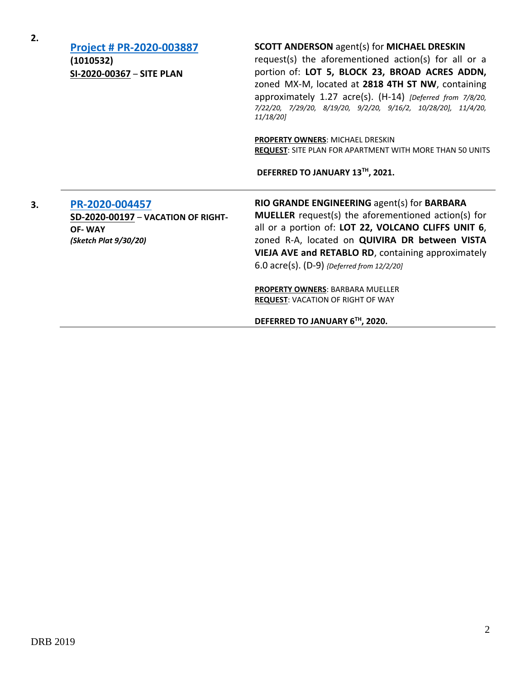| 2. | Project # PR-2020-003887<br>(1010532)<br>SI-2020-00367 - SITE PLAN                             | <b>SCOTT ANDERSON agent(s) for MICHAEL DRESKIN</b><br>request(s) the aforementioned action(s) for all or a<br>portion of: LOT 5, BLOCK 23, BROAD ACRES ADDN,<br>zoned MX-M, located at 2818 4TH ST NW, containing<br>approximately 1.27 acre(s). (H-14) [Deferred from 7/8/20,<br>7/22/20, 7/29/20, 8/19/20, 9/2/20, 9/16/2, 10/28/20], 11/4/20,<br>11/18/201<br><b>PROPERTY OWNERS: MICHAEL DRESKIN</b><br>REQUEST: SITE PLAN FOR APARTMENT WITH MORE THAN 50 UNITS<br>DEFERRED TO JANUARY 13TH, 2021. |
|----|------------------------------------------------------------------------------------------------|---------------------------------------------------------------------------------------------------------------------------------------------------------------------------------------------------------------------------------------------------------------------------------------------------------------------------------------------------------------------------------------------------------------------------------------------------------------------------------------------------------|
| 3. | PR-2020-004457<br>SD-2020-00197 - VACATION OF RIGHT-<br><b>OF-WAY</b><br>(Sketch Plat 9/30/20) | RIO GRANDE ENGINEERING agent(s) for BARBARA<br><b>MUELLER</b> request(s) the aforementioned action(s) for<br>all or a portion of: LOT 22, VOLCANO CLIFFS UNIT 6,<br>zoned R-A, located on QUIVIRA DR between VISTA<br>VIEJA AVE and RETABLO RD, containing approximately<br>6.0 $\arccos(5)$ . (D-9) {Deferred from 12/2/20]<br><b>PROPERTY OWNERS: BARBARA MUELLER</b><br><b>REQUEST: VACATION OF RIGHT OF WAY</b><br>DEFERRED TO JANUARY 6TH, 2020.                                                   |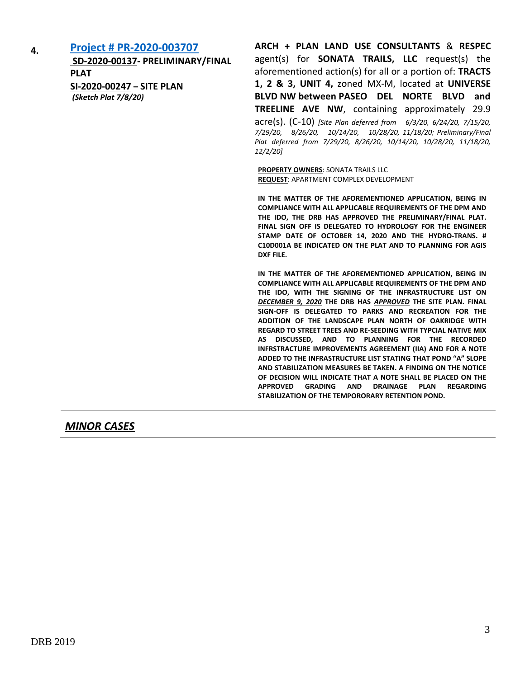**4. [Project # PR-2020-003707](http://data.cabq.gov/government/planning/DRB/PR-2020-003707/DRB%20Submittals/) SD-2020-00137- PRELIMINARY/FINAL PLAT SI-2020-00247 – SITE PLAN** *(Sketch Plat 7/8/20)*

**ARCH + PLAN LAND USE CONSULTANTS** & **RESPEC** agent(s) for **SONATA TRAILS, LLC** request(s) the aforementioned action(s) for all or a portion of: **TRACTS 1, 2 & 3, UNIT 4,** zoned MX-M, located at **UNIVERSE BLVD NW between PASEO DEL NORTE BLVD and TREELINE AVE NW**, containing approximately 29.9 acre(s). (C-10) *[Site Plan deferred from 6/3/20, 6/24/20, 7/15/20, 7/29/20, 8/26/20, 10/14/20, 10/28/20, 11/18/20; Preliminary/Final Plat deferred from 7/29/20, 8/26/20, 10/14/20, 10/28/20, 11/18/20, 12/2/20]*

**PROPERTY OWNERS: SONATA TRAILS LLC REQUEST**: APARTMENT COMPLEX DEVELOPMENT

**IN THE MATTER OF THE AFOREMENTIONED APPLICATION, BEING IN COMPLIANCE WITH ALL APPLICABLE REQUIREMENTS OF THE DPM AND THE IDO, THE DRB HAS APPROVED THE PRELIMINARY/FINAL PLAT. FINAL SIGN OFF IS DELEGATED TO HYDROLOGY FOR THE ENGINEER STAMP DATE OF OCTOBER 14, 2020 AND THE HYDRO-TRANS. # C10D001A BE INDICATED ON THE PLAT AND TO PLANNING FOR AGIS DXF FILE.**

**IN THE MATTER OF THE AFOREMENTIONED APPLICATION, BEING IN COMPLIANCE WITH ALL APPLICABLE REQUIREMENTS OF THE DPM AND THE IDO, WITH THE SIGNING OF THE INFRASTRUCTURE LIST ON**  *DECEMBER 9, 2020* **THE DRB HAS** *APPROVED* **THE SITE PLAN. FINAL SIGN-OFF IS DELEGATED TO PARKS AND RECREATION FOR THE ADDITION OF THE LANDSCAPE PLAN NORTH OF OAKRIDGE WITH REGARD TO STREET TREES AND RE-SEEDING WITH TYPCIAL NATIVE MIX AS DISCUSSED, AND TO PLANNING FOR THE RECORDED INFRSTRACTURE IMPROVEMENTS AGREEMENT (IIA) AND FOR A NOTE ADDED TO THE INFRASTRUCTURE LIST STATING THAT POND "A" SLOPE AND STABILIZATION MEASURES BE TAKEN. A FINDING ON THE NOTICE OF DECISION WILL INDICATE THAT A NOTE SHALL BE PLACED ON THE APPROVED GRADING AND DRAINAGE PLAN REGARDING STABILIZATION OF THE TEMPORORARY RETENTION POND.**

*MINOR CASES*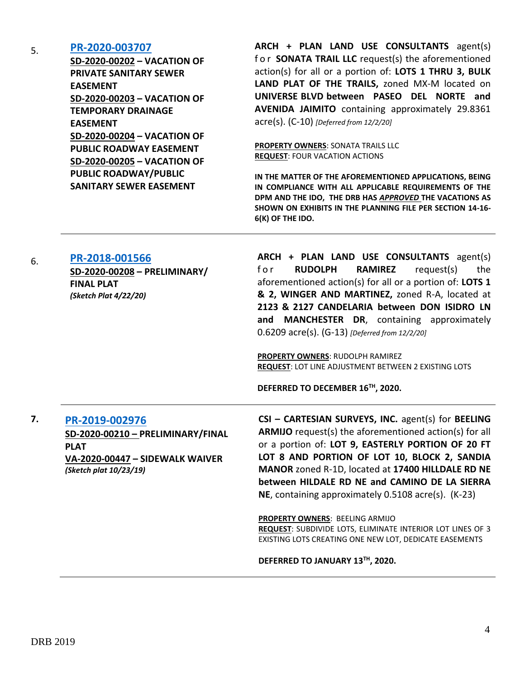### 5. **[PR-2020-003707](http://data.cabq.gov/government/planning/DRB/PR-2020-003707/DRB%20Submittals/)**

**SD-2020-00202 – VACATION OF PRIVATE SANITARY SEWER EASEMENT SD-2020-00203 – VACATION OF TEMPORARY DRAINAGE EASEMENT SD-2020-00204 – VACATION OF PUBLIC ROADWAY EASEMENT SD-2020-00205 – VACATION OF PUBLIC ROADWAY/PUBLIC SANITARY SEWER EASEMENT**

**ARCH + PLAN LAND USE CONSULTANTS** agent(s) f o r **SONATA TRAIL LLC** request(s) the aforementioned action(s) for all or a portion of: **LOTS 1 THRU 3, BULK LAND PLAT OF THE TRAILS,** zoned MX-M located on **UNIVERSE BLVD between PASEO DEL NORTE and AVENIDA JAIMITO** containing approximately 29.8361 acre(s). (C-10) *[Deferred from 12/2/20]*

**PROPERTY OWNERS**: SONATA TRAILS LLC **REQUEST**: FOUR VACATION ACTIONS

**IN THE MATTER OF THE AFOREMENTIONED APPLICATIONS, BEING IN COMPLIANCE WITH ALL APPLICABLE REQUIREMENTS OF THE DPM AND THE IDO, THE DRB HAS** *APPROVED* **THE VACATIONS AS SHOWN ON EXHIBITS IN THE PLANNING FILE PER SECTION 14-16- 6(K) OF THE IDO.**

6. **[PR-2018-001566](http://data.cabq.gov/government/planning/DRB/PR-2018-001566/DRB%20Submittals/PR2018-001566_Dec_02_2020/Application/DRB%20P%26F%20Arch%20%26%20Plan%20PR-2018-001566%20SD-2020-00208%20signed%20copy.pdf)**

**SD-2020-00208 – PRELIMINARY/ FINAL PLAT** *(Sketch Plat 4/22/20)*

**ARCH + PLAN LAND USE CONSULTANTS** agent(s) f o r **RUDOLPH RAMIREZ** request(s) the aforementioned action(s) for all or a portion of: **LOTS 1 & 2, WINGER AND MARTINEZ,** zoned R-A, located at **2123 & 2127 CANDELARIA between DON ISIDRO LN and MANCHESTER DR**, containing approximately 0.6209 acre(s). (G-13) *[Deferred from 12/2/20]*

**PROPERTY OWNERS**: RUDOLPH RAMIREZ **REQUEST**: LOT LINE ADJUSTMENT BETWEEN 2 EXISTING LOTS

**DEFERRED TO DECEMBER 16TH, 2020.**

## **7. [PR-2019-002976](http://data.cabq.gov/government/planning/DRB/PR-2019-002976/DRB%20Submittals/PR-2019-002976_Dec_9_2020/Application/)**

**SD-2020-00210 – PRELIMINARY/FINAL PLAT VA-2020-00447 – SIDEWALK WAIVER** *(Sketch plat 10/23/19)*

**CSI – CARTESIAN SURVEYS, INC.** agent(s) for **BEELING ARMIJO** request(s) the aforementioned action(s) for all or a portion of: **LOT 9, EASTERLY PORTION OF 20 FT LOT 8 AND PORTION OF LOT 10, BLOCK 2, SANDIA MANOR** zoned R-1D, located at **17400 HILLDALE RD NE between HILDALE RD NE and CAMINO DE LA SIERRA NE**, containing approximately 0.5108 acre(s). (K-23)

**PROPERTY OWNERS**: BEELING ARMIJO **REQUEST**: SUBDIVIDE LOTS, ELIMINATE INTERIOR LOT LINES OF 3 EXISTING LOTS CREATING ONE NEW LOT, DEDICATE EASEMENTS

**DEFERRED TO JANUARY 13TH, 2020.**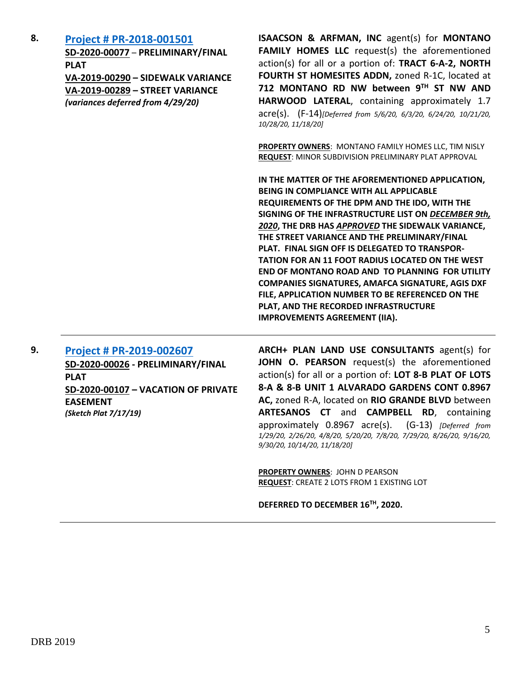**8. [Project # PR-2018-001501](http://data.cabq.gov/government/planning/DRB/PR-2018-001501/DRB%20Submittals/) SD-2020-00077** – **PRELIMINARY/FINAL PLAT VA-2019-00290 – SIDEWALK VARIANCE VA-2019-00289 – STREET VARIANCE**  *(variances deferred from 4/29/20)*

**ISAACSON & ARFMAN, INC** agent(s) for **MONTANO FAMILY HOMES LLC** request(s) the aforementioned action(s) for all or a portion of: **TRACT 6-A-2, NORTH FOURTH ST HOMESITES ADDN,** zoned R-1C, located at **712 MONTANO RD NW between 9TH ST NW AND HARWOOD LATERAL**, containing approximately 1.7 acre(s). (F-14)*[Deferred from 5/6/20, 6/3/20, 6/24/20, 10/21/20, 10/28/20, 11/18/20]*

**PROPERTY OWNERS**: MONTANO FAMILY HOMES LLC, TIM NISLY **REQUEST**: MINOR SUBDIVISION PRELIMINARY PLAT APPROVAL

**IN THE MATTER OF THE AFOREMENTIONED APPLICATION, BEING IN COMPLIANCE WITH ALL APPLICABLE REQUIREMENTS OF THE DPM AND THE IDO, WITH THE SIGNING OF THE INFRASTRUCTURE LIST ON** *DECEMBER 9th, 2020***, THE DRB HAS** *APPROVED* **THE SIDEWALK VARIANCE, THE STREET VARIANCE AND THE PRELIMINARY/FINAL PLAT. FINAL SIGN OFF IS DELEGATED TO TRANSPOR-TATION FOR AN 11 FOOT RADIUS LOCATED ON THE WEST END OF MONTANO ROAD AND TO PLANNING FOR UTILITY COMPANIES SIGNATURES, AMAFCA SIGNATURE, AGIS DXF FILE, APPLICATION NUMBER TO BE REFERENCED ON THE PLAT, AND THE RECORDED INFRASTRUCTURE IMPROVEMENTS AGREEMENT (IIA).**

## **9. [Project # PR-2019-002607](http://data.cabq.gov/government/planning/DRB/PR-2019-002607/DRB%20Submittals/)**

**SD-2020-00026 - PRELIMINARY/FINAL PLAT SD-2020-00107 – VACATION OF PRIVATE EASEMENT** *(Sketch Plat 7/17/19)*

**ARCH+ PLAN LAND USE CONSULTANTS** agent(s) for **JOHN O. PEARSON** request(s) the aforementioned action(s) for all or a portion of: **LOT 8-B PLAT OF LOTS 8-A & 8-B UNIT 1 ALVARADO GARDENS CONT 0.8967 AC,** zoned R-A, located on **RIO GRANDE BLVD** between **ARTESANOS CT** and **CAMPBELL RD**, containing approximately 0.8967 acre(s). (G-13) *[Deferred from 1/29/20, 2/26/20, 4/8/20, 5/20/20, 7/8/20, 7/29/20, 8/26/20, 9/16/20, 9/30/20, 10/14/20, 11/18/20]*

**PROPERTY OWNERS**: JOHN D PEARSON **REQUEST**: CREATE 2 LOTS FROM 1 EXISTING LOT

**DEFERRED TO DECEMBER 16TH, 2020.**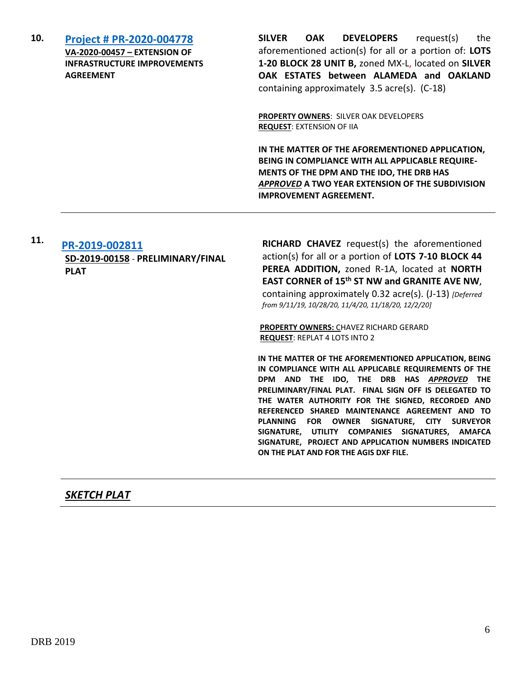| 10. | <b>Project # PR-2020-004778</b><br>VA-2020-00457 - EXTENSION OF<br><b>INFRASTRUCTURE IMPROVEMENTS</b><br><b>AGREEMENT</b> | <b>SILVER</b><br><b>OAK</b><br><b>DEVELOPERS</b><br>request(s)<br>the<br>aforementioned action(s) for all or a portion of: LOTS<br>1-20 BLOCK 28 UNIT B, zoned MX-L, located on SILVER<br>OAK ESTATES between ALAMEDA and OAKLAND<br>containing approximately 3.5 acre(s). (C-18) |
|-----|---------------------------------------------------------------------------------------------------------------------------|-----------------------------------------------------------------------------------------------------------------------------------------------------------------------------------------------------------------------------------------------------------------------------------|
|     |                                                                                                                           | <b>PROPERTY OWNERS: SILVER OAK DEVELOPERS</b><br><b>REQUEST: EXTENSION OF IIA</b>                                                                                                                                                                                                 |
|     |                                                                                                                           | IN THE MATTER OF THE AFOREMENTIONED APPLICATION,<br><b>BEING IN COMPLIANCE WITH ALL APPLICABLE REQUIRE-</b><br>MENTS OF THE DPM AND THE IDO, THE DRB HAS<br>APPROVED A TWO YEAR EXTENSION OF THE SUBDIVISION<br><b>IMPROVEMENT AGREEMENT.</b>                                     |

#### **11. [PR-2019-002811](http://data.cabq.gov/government/planning/DRB/PR-2019-002811/DRB%20Submittals/) SD-2019-00158** - **PRELIMINARY/FINAL PLAT**

**RICHARD CHAVEZ** request(s) the aforementioned action(s) for all or a portion of **LOTS 7-10 BLOCK 44 PEREA ADDITION,** zoned R-1A, located at **NORTH EAST CORNER of 15th ST NW and GRANITE AVE NW**, containing approximately 0.32 acre(s). (J-13) *[Deferred from 9/11/19, 10/28/20, 11/4/20, 11/18/20, 12/2/20]*

**PROPERTY OWNERS:** CHAVEZ RICHARD GERARD **REQUEST**: REPLAT 4 LOTS INTO 2

**IN THE MATTER OF THE AFOREMENTIONED APPLICATION, BEING IN COMPLIANCE WITH ALL APPLICABLE REQUIREMENTS OF THE DPM AND THE IDO, THE DRB HAS** *APPROVED* **THE PRELIMINARY/FINAL PLAT. FINAL SIGN OFF IS DELEGATED TO THE WATER AUTHORITY FOR THE SIGNED, RECORDED AND REFERENCED SHARED MAINTENANCE AGREEMENT AND TO PLANNING FOR OWNER SIGNATURE, CITY SURVEYOR SIGNATURE, UTILITY COMPANIES SIGNATURES, AMAFCA SIGNATURE, PROJECT AND APPLICATION NUMBERS INDICATED ON THE PLAT AND FOR THE AGIS DXF FILE.**

## *SKETCH PLAT*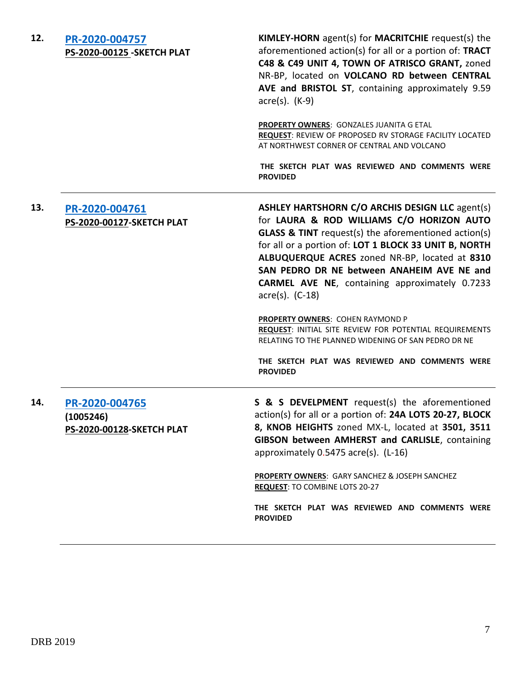| 12. | PR-2020-004757<br>PS-2020-00125_SKETCH PLAT                     | KIMLEY-HORN agent(s) for MACRITCHIE request(s) the<br>aforementioned action(s) for all or a portion of: TRACT<br>C48 & C49 UNIT 4, TOWN OF ATRISCO GRANT, zoned<br>NR-BP, located on VOLCANO RD between CENTRAL<br>AVE and BRISTOL ST, containing approximately 9.59<br>$\arccos(5)$ . (K-9)                                                                                                                                                                                                                                                                                  |
|-----|-----------------------------------------------------------------|-------------------------------------------------------------------------------------------------------------------------------------------------------------------------------------------------------------------------------------------------------------------------------------------------------------------------------------------------------------------------------------------------------------------------------------------------------------------------------------------------------------------------------------------------------------------------------|
|     |                                                                 | <b>PROPERTY OWNERS: GONZALES JUANITA G ETAL</b><br>REQUEST: REVIEW OF PROPOSED RV STORAGE FACILITY LOCATED<br>AT NORTHWEST CORNER OF CENTRAL AND VOLCANO                                                                                                                                                                                                                                                                                                                                                                                                                      |
|     |                                                                 | THE SKETCH PLAT WAS REVIEWED AND COMMENTS WERE<br><b>PROVIDED</b>                                                                                                                                                                                                                                                                                                                                                                                                                                                                                                             |
| 13. | PR-2020-004761<br><b>PS-2020-00127-SKETCH PLAT</b>              | <b>ASHLEY HARTSHORN C/O ARCHIS DESIGN LLC agent(s)</b><br>for LAURA & ROD WILLIAMS C/O HORIZON AUTO<br><b>GLASS &amp; TINT</b> request(s) the aforementioned action(s)<br>for all or a portion of: LOT 1 BLOCK 33 UNIT B, NORTH<br>ALBUQUERQUE ACRES zoned NR-BP, located at 8310<br>SAN PEDRO DR NE between ANAHEIM AVE NE and<br><b>CARMEL AVE NE, containing approximately 0.7233</b><br>$\arccos 0$ . (C-18)<br><b>PROPERTY OWNERS: COHEN RAYMOND P</b><br>REQUEST: INITIAL SITE REVIEW FOR POTENTIAL REQUIREMENTS<br>RELATING TO THE PLANNED WIDENING OF SAN PEDRO DR NE |
|     |                                                                 | THE SKETCH PLAT WAS REVIEWED AND COMMENTS WERE<br><b>PROVIDED</b>                                                                                                                                                                                                                                                                                                                                                                                                                                                                                                             |
| 14. | PR-2020-004765<br>(1005246)<br><b>PS-2020-00128-SKETCH PLAT</b> | S & S DEVELPMENT request(s) the aforementioned<br>action(s) for all or a portion of: 24A LOTS 20-27, BLOCK<br>8, KNOB HEIGHTS zoned MX-L, located at 3501, 3511<br><b>GIBSON between AMHERST and CARLISLE, containing</b><br>approximately 0.5475 acre(s). (L-16)                                                                                                                                                                                                                                                                                                             |
|     |                                                                 | PROPERTY OWNERS: GARY SANCHEZ & JOSEPH SANCHEZ<br>REQUEST: TO COMBINE LOTS 20-27                                                                                                                                                                                                                                                                                                                                                                                                                                                                                              |
|     |                                                                 | THE SKETCH PLAT WAS REVIEWED AND COMMENTS WERE<br><b>PROVIDED</b>                                                                                                                                                                                                                                                                                                                                                                                                                                                                                                             |